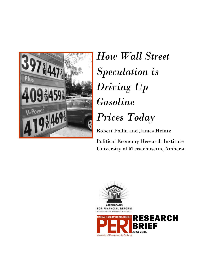

# *How Wall Street Speculation is Driving Up Gasoline Prices Today*

Robert Pollin and James Heintz

Political Economy Research Institute University of Massachusetts, Amherst

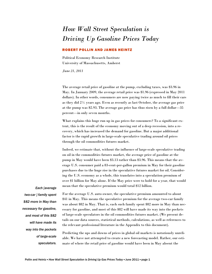## *How Wall Street Speculation is Driving Up Gasoline Prices Today*

#### ROBERT POLLIN AND JAMES HEINTZ

Political Economy Research Institute University of Massachusetts, Amherst

*June 21, 2011* 

The average retail price of gasoline at the pump, excluding taxes, was \$3.96 in May. In January 2009, the average retail price was \$1.96 (expressed in May 2011 dollars). In other words, consumers are now paying twice as much to fill their cars as they did 2½ years ago. Even as recently as last October, the average gas price at the pump was \$2.93. The average gas price has thus risen by a full dollar—35 percent—in only seven months.

What explains this huge run up in gas prices for consumers? To a significant extent, this is the result of the economy moving out of a deep recession, into a recovery, which has increased the demand for gasoline. But a major additional factor is the rapid growth in large-scale speculative trading around oil prices through the oil commodities futures market.

Indeed, we estimate that, without the influence of large-scale speculative trading on oil in the commodities futures market, the average price of gasoline at the pump in May would have been \$3.13 rather than \$3.96. This means that the average U.S. consumer paid a 83-cent-per-gallon premium in May for their gasoline purchases due to the huge rise in the speculative futures market for oil. Considering the U.S. economy as a whole, this translates into a speculation premium of over \$1 billion for May alone. If the May price were to hold for a year, that would mean that the speculative premium would total \$12 billion.

*Each [average two-car ] family spent \$82 more in May than necessary for gasoline, and most of this \$82 will have made its way into the pockets of large-scale speculators.*

For the average U.S. auto owner, the speculative premium amounted to about \$41 in May. This means the speculative premium for the average two-car family was about \$82 in May. That is, each such family spent \$82 more in May than necessary for gasoline, and most of this \$82 will have made its way into the pockets of large-scale speculators in the oil commodities futures market. (We present details on our data sources, statistical methods, calculations, as well as references to the relevant professional literature in the Appendix to this document).

Predicting the ups and downs of prices in global oil markets is notoriously unreliable. We have not attempted to create a new forecasting model. Rather, our estimate of where the retail price of gasoline would have been in May absent the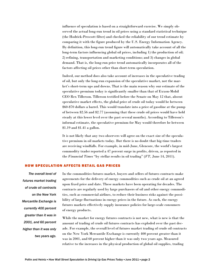influence of speculation is based on a straightforward exercise. We simply observed the actual long-run trend in oil prices using a standard statistical technique (the Hodrick-Prescott filter) and checked the reliability of our trend estimate by comparing it with the figure produced by the U.S. Energy Information Agency. By definition, this long-run trend figure will automatically take account of all the long-term factors influencing global oil prices, including 1) the production of oil; 2) refining, transportation and marketing conditions; and 3) changes in global demand. That is, the long-run price trend automatically incorporates all of the factors affecting oil prices other than short-term speculation.

Indeed, our method does also take account of increases in the speculative trading of oil, but only the long-run expansion of the speculative market, not the market's short-term ups and downs. That is the main reason why our estimate of the speculative premium today is significantly smaller than that of Exxon-Mobil CEO Rex Tillerson. Tillerson testified before the Senate on May 12 that, absent speculative market effects, the global price of crude oil today would be between \$60-\$70 dollars a barrel. This would translate into a price of gasoline at the pump of between \$2.56 and \$2.77 (assuming that these crude oil prices would have held steady at this lower level over the past several months). According to Tillerson's informal estimate, the speculative premium for May would therefore be between \$1.19 and \$1.41 a gallon.

It is not likely that any two observers will agree on the exact size of the speculative premium in oil markets today. But there is no doubt that big-time traders are receiving windfalls. For example, in mid-June, Glencore, the world's largest commodity trader reported a 47 percent surge in profits, driven, as reported in the *Financial Times* "by stellar results in oil trading" (*FT,* June 14, 2011).

#### HOW SPECULATION AFFECTS RETAIL GAS PRICES

*The overall level of futures market trading of crude oil contracts on the New York Mercantile Exchange is currently 400 percent greater than it was in 2001, and 60 percent higher than it was only two years ago.*

In the commodities futures market, buyers and sellers of futures contracts make agreements for the delivery of energy commodities such as crude oil at an agreed upon fixed price and date. These markets have been operating for decades. The contracts are regularly used by large purchasers of oil and other energy commodities, such as commercial airlines, to reduce their business risks against the possibility of large fluctuations in energy prices in the future. As such, the energy futures markets effectively supply insurance policies for large-scale consumers of energy products.

While the market for energy futures contracts is not new, what is new is that the amount of trading of crude oil futures contracts has exploded over the past decade. For example, the overall level of futures market trading of crude oil contracts on the New York Mercantile Exchange is currently 400 percent greater than it was in 2001, and 60 percent higher than it was only two years ago. Measured relative to the increases in the physical production of global oil supplies, trading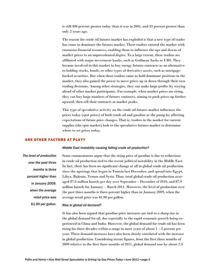is still 300 percent greater today than it was in 2001, and 33 percent greater than only 2 years ago.

The reason the crude oil futures market has exploded is that a new type of trader has come to dominate the futures market. These traders entered the market with enormous financial resources, enabling them to influence the ups and downs of market prices to an unprecedented degree. To a large extent, these traders are affiliated with major investment banks, such as Goldman Sachs or UBS. They became involved in this market to buy energy futures contracts as an alternative to holding stocks, bonds, or other types of derivative assets, such as mortgagebacked securities. But when these traders came to hold dominant positions in the market, they also gained the power to move prices up or down through their own trading decisions. Among other strategies, they can make large profits by staying ahead of other market participants. For example, when market prices are rising, they can buy large numbers of futures contracts, aiming to push prices up further upward, then sell their contracts at market peaks.

This type of speculative activity on the crude oil futures market influences the prices today (spot prices) of both crude oil and gasoline at the pump by affecting expectations of future price changes. That is, traders in the market for current supplies (the spot market) look to the speculative futures market to determine where to set prices today.

#### ARE OTHER FACTORS AT PLAY?

#### *Middle East instability causing falling crude oil production?*

*The level of production over the past three months is three percent higher than in January 2009, when the average retail price was \$1.90 per gallon.*

Some commentators argue that the rising price of gasoline is due to reductions in crude oil production tied to the recent political instability in the Middle East. In fact, there has been no significant change at all in global crude oil production since the uprisings that began in Tunisia last December, and spread into Egypt, Libya, Bahrain, Yemen and Syria. Thus, total global crude oil production averaged 87.6 million barrels per day over September – December of 2010, and 87.9 million barrels for January – March 2011. Moreover, the level of production over the past three months is three percent higher than in January 2009, when the average retail price was \$1.90 per gallon.

#### *Rise in global oil demand?*

It has also been argued that gasoline price increases are tied to a sharp rise in the global demand for oil, due especially to the rapid economic growth being experienced in China and India. However, the global demand for crude oil has been rising for three decades within a range in most years of about  $1 - 2$  percent per year. These demand increases have also been closely correlated with the increase in global production. Considering recent figures, from the first three months of 2009 relative to the first three months of 2011, global demand rose by about 2.4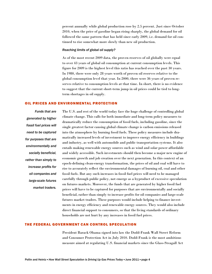percent annually while global production rose by 2.5 percent. Just since October 2010, when the price of gasoline began rising sharply, the global demand for oil followed the same pattern that has held since early 2009, i.e. demand for oil continued to rise somewhat more slowly than new oil production.

#### *Reaching limits of global oil supply?*

As of the most recent 2009 data, the proven reserves of oil globally were equal to over 43 years of global oil consumption at current consumption levels. This figure for 2009 is the highest level this ratio has reached over the past 30 years. In 1980, there were only 28 years worth of proven oil reserves relative to the global consumption level that year. In 2000, there were 36 years of proven reserves relative to consumption levels at that time. In short, there is no evidence to suggest that the current short-term jump in oil prices could be tied to longterm shortages in oil supply.

#### OIL PRICES AND ENVIRONMENTAL PROTECTION

*Funds that are generated by higher fossil fuel prices will need to be captured for purposes that are environmentally and socially beneficial, rather than simply to increase profits for oil companies and large-scale futures market traders.*

The U.S. and rest of the world today face the huge challenge of controlling global climate change. This calls for both immediate and long-term policy measures to dramatically reduce the consumption of fossil fuels, including gasoline, since the single greatest factor causing global climate change is carbon emissions released into the atmosphere by burning fossil fuels. These policy measures include dramatically increased levels of investment to improve energy efficiency in buildings and industry, as well with automobile and public transportation systems. It also entails making renewable energy sources such as wind and solar power affordable and widely accessible. Such investments should then become a major new engine of economic growth and job creation over the next generation. In this context of an epoch-defining clean-energy transformation, the prices of oil and coal will have to rise to accurately reflect the environmental damages of burning oil, coal and other fossil fuels. But any such increases in fossil fuel prices will need to be managed carefully through public policy, not emerge as a byproduct of excessive speculation on futures markets. Moreover, the funds that are generated by higher fossil fuel prices will have to be captured for purposes that are environmentally and socially beneficial, rather than simply to increase profits for oil companies and large-scale futures market traders. These purposes would include helping to finance investments in energy efficiency and renewable energy sources. They would also include direct financial support to consumers, so that the living standards of ordinary households are not hurt by any increases in fossil fuel prices.

#### THE FEDERAL GOVERNMENT CAN CONTROL SPECULATION

President Barack Obama signed into law the Dodd-Frank Wall Street Reform and Consumer Protection Act in July 2010. Dodd-Frank is the most ambitious measure aimed at regulating U.S. financial markets since the Glass-Steagall Act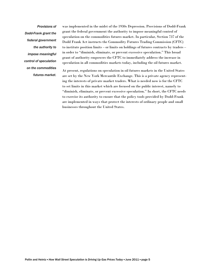*Provisions of Dodd-Frank grant the federal government the authority to impose meaningful control of speculation on the commodities futures market.*

was implemented in the midst of the 1930s Depression. Provisions of Dodd-Frank grant the federal government the authority to impose meaningful control of speculation on the commodities futures market. In particular, Section 737 of the Dodd Frank Act instructs the Commodity Futures Trading Commission (CFTC) to institute position limits – or limits on holdings of futures contracts by traders – in order to "diminish, eliminate, or prevent excessive speculation." This broad grant of authority empowers the CFTC to immediately address the increase in speculation in all commodities markets today, including the oil futures market.

At present, regulations on speculation in oil futures markets in the United States are set by the New York Mercantile Exchange. This is a private agency representing the interests of private market traders. What is needed now is for the CFTC to set limits in this market which are focused on the public interest, namely to "diminish, eliminate, or prevent excessive speculation." In short, the CFTC needs to exercise its authority to ensure that the policy tools provided by Dodd-Frank are implemented in ways that protect the interests of ordinary people and small businesses throughout the United States.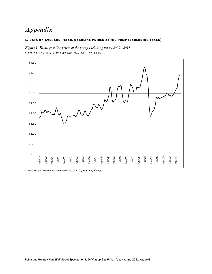### *Appendix*

#### 1. DATA ON AVERAGE RETAIL GASOLINE PRICES AT THE PUMP (EXCLUDING TAXES)

*Figure 1. Retail gasoline prices at the pump excluding taxes, 2000 - 2011* \$ PER GALLON, U.S. CITY AVERAGE, MAY 2011 DOLLARS



*Source: Energy Information Administration, U.S. Department of Energy.*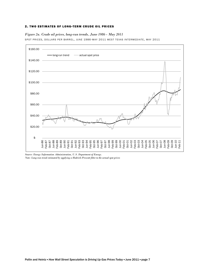#### 2. TWO ESTIMATES OF LONG-TERM CRUDE OIL PRICES

#### *Figure 2a. Crude oil prices, long-run trends, June 1986 - May 2011*

SPOT PRICES, DOLLARS PER BARREL, JUNE 1986-MAY 2011 WEST TEXAS INTERMEDIATE, MAY 2011



*Source: Energy Information Administration, U.S. Department of Energy.* 

*Note: Long-run trend estimated by applying a Hodrick-Prescott filter to the actual spot prices*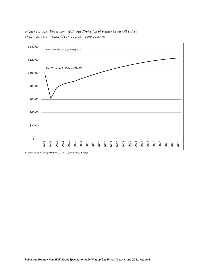

*Figure 2b. U.S. Department of Energy Projection of Future Crude Oil Prices*  \$/BARREL , (' LIGHT -SWEET '/ LOW - SULFUR), 2009 DOLLARS

*Source: Annual Energy Outlook, U.S. Department of Energy*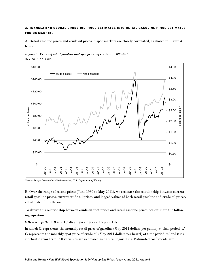#### 3. TRANSLATING GLOBAL CRUDE OIL PRICE ESTIMATES INTO RETAIL GASOLINE PRICE ESTIMATES **FOR US MARKET.**

A. Retail gasoline prices and crude oil prices in spot markets are closely correlated, as shown in Figure 3 below.





*Source: Energy Information Administration, U.S. Department of Energy.* 

B. Over the range of recent prices (June 1986 to May 2011), we estimate the relationship between current retail gasoline prices, current crude oil prices, and lagged values of both retail gasoline and crude oil prices, all adjusted for inflation.

To derive this relationship between crude oil spot prices and retail gasoline prices, we estimate the following equation:

#### *lnGt* =  $\alpha$  +  $\beta$ <sub>1</sub>G<sub>t-1</sub> +  $\beta$ <sub>2</sub>G<sub>t-2</sub> +  $\beta$ <sub>3</sub>G<sub>t-3</sub> +  $\gamma$ <sub>1</sub>C<sub>t</sub> +  $\gamma$ <sub>2</sub>C<sub>t-1</sub> +  $\gamma$ <sub>3</sub>C<sub>t-2</sub> + ε<sub>t</sub>

in which  $G_t$  represents the monthly retail price of gasoline (May 2011 dollars per gallon) at time period 't,'  $C_t$  represents the monthly spot price of crude oil (May 2011 dollars per barrel) at time period 't,' and  $\varepsilon$  is a stochastic error term. All variables are expressed as natural logarithms. Estimated coefficients are: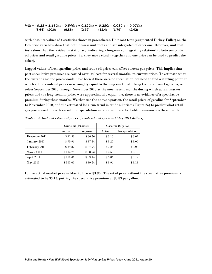*lnGt = - 0.28 + 1.16Gt-1 - 0.54Gt-2 + 0.12Gt-3 + 0.28Ct – 0.08Ct-1 – 0.07Ct-2*  $(6.64)$   $(20.0)$   $(6.86)$   $(2.79)$   $(11.4)$   $(1.79)$   $(2.42)$ 

with absolute values of t-statistics shown in parentheses. Unit root tests (augmented Dickey-Fuller) on the two price variables show that both possess unit roots and are integrated of order one. However, unit root tests show that the residual is stationary, indicating a long-run cointegrating relationship between crude oil prices and retail gasoline prices (i.e. they move closely together and one price can be used to predict the other).

Lagged values of both gasoline prices and crude oil prices can affect current gas prices. This implies that past speculative pressures are carried over, at least for several months, to current prices. To estimate what the current gasoline prices would have been if there were no speculation, we need to find a starting point at which actual crude oil prices were roughly equal to the long run trend. Using the data from Figure 2a, we select September 2010 through November 2010 as the most recent months during which actual market prices and the long trend in prices were approximately equal - i.e. there is no evidence of a speculative premium during these months. We then use the above equation, the retail prices of gasoline for September to November 2010, and the estimated long-run trend in crude oil prices (Figure 2a) to predict what retail gas prices would have been without speculation in crude oil markets. Table 1 summarizes these results.

|               |          | Crude oil (\$/barrel) | Gasoline (\$/gallon) |                |  |
|---------------|----------|-----------------------|----------------------|----------------|--|
|               | Actual   | Long-run              | Actual               | No speculation |  |
| December 2011 | \$91.30  | \$86.76               | \$3.10               | \$3.02         |  |
| January 2011  | \$90.96  | \$87.34               | \$3.20               | \$3.06         |  |
| February 2011 | \$89.87  | \$87.94               | \$3.26               | \$3.08         |  |
| March 2011    | \$103.79 | \$88.53               | \$3.63               | \$3.10         |  |
| April 2011    | \$110.06 | \$89.14               | \$3.87               | \$3.12         |  |
| May 2011      | \$101.00 | \$89.74               | \$3.96               | \$3.13         |  |

*Table 1. Actual and estimated prices of crude oil and gasoline (May 2011 dollars).* 

C. The actual market price in May 2011 was \$3.96. The retail price without the speculative premium is estimated to be \$3.13, putting the speculative premium at \$0.83 per gallon.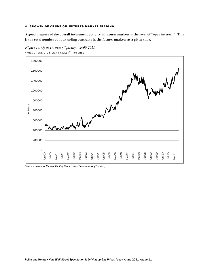#### 4. GROWTH OF CRUDE OIL FUTURES MARKET TRADING

A good measure of the overall investment activity in futures markets is the level of "open interest." This is the total number of outstanding contracts in the futures markets at a given time.



*Figure 4a. Open Interest (liquidity), 2000-2011* 

NYMEX CRUDE OIL (' LIGHT SWEET ') FUTURES

*Source: Commodity Futures Trading Commission (Commitments of Traders).*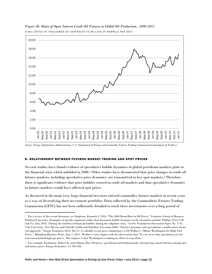

*Figure 4b. Ratio of Open Interest Crude Oil Futures to Global Oil Production, 2000-2011*  NYMEX (RATIO OF THOUSANDS OF CONTRACTS TO MILLION OF BARRELS PER DAY)

*Source: Energy Information Administration, U.S. Department of Energy and Commodity Futures Trading Commission(Commitment of Traders).*

#### 5. RELATIONSHIP BETWEEN FUTURES MARKET TRADING AND SPOT PRICES

Several studies have found evidence of speculative bubble dynamics in global petroleum markets prior to the financial crisis which unfolded in 2008.1 Other studies have documented that price changes in crude oil futures markets, including speculative price dynamics, are transmitted to key spot markets.2 Therefore, there is significant evidence that price bubbles existed in crude oil markets and that speculative dynamics in futures markets would have affected spot prices.

As discussed in the main text, large financial investors entered commodity futures markets in recent years as a way of diversifying their investment portfolios. Data collected by the Commodities Futures Trading Commission (CFTC) has not been sufficiently detailed to track these investments over a long period of

<sup>&</sup>lt;sup>1</sup> For a review of the recent literature, see Singleton, Kenneth J. 2010, "The 2008 Boom/Bust in Oil Prices," Graduate School of Business, Stanford University. Examples of specific empirical studies that document bubble dynamics in the oil market include: Phillips, Peter C.B. and Yu, Jun. 2010, "Dating the timeline of financial bubbles during the subprime crisis," Cowles Foundation Discussion Paper No. 1770, Yale University, New Haven; and Cifarelli, Giulio and Paladino, Giovanna 2008, "Oil price dynamics and speculation: a multivariate financial approach," *Energy Economics* 32(2): 363-72. A valuable recent press commentary is Ed Wallace's "Blame Washington for High Fuel Prices," *Bloomberg/Business Week*, June 7, 2011. Wallace's story begins with the observation that "It's no secret that speculators are the real reason behind high gas prices. The surprise is that Washington is making no effort to stop them."

<sup>2</sup> For example, Kaufmann, Robert K. and Ullman, Ben. Oil prices, speculation and fundamentals: interpreting causal relations among spot and future prices. *Energy Economics*, 31: 550-558.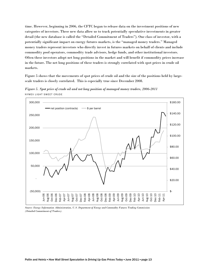time. However, beginning in 2006, the CFTC began to release data on the investment positions of new categories of investors. These new data allow us to track potentially speculative investments in greater detail (the new database is called the "Detailed Commitment of Traders"). One class of investor, with a potentially significant impact on energy futures markets, is the "managed money traders." Managed money traders represent investors who directly invest in futures markets on behalf of clients and include commodity pool operators, commodity trade advisors, hedge funds, and other institutional investors. Often these investors adopt net long positions in the market and will benefit if commodity prices increase in the future. The net long positions of these traders is strongly correlated with spot prices in crude oil markets.

Figure 5 shows that the movements of spot prices of crude oil and the size of the positions held by largescale traders is closely correlated. This is especially true since December 2008.





*Source: Energy Information Administration, U.S. Department of Energy and Commodity Futures Trading Commission (Detailed Commitment of Traders).*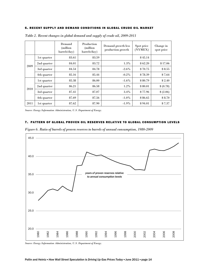#### 6. RECENT SUPPLY AND DEMAND CONDITIONS IN GLOBAL CRUDE OIL MARKET

|      |             | Demand<br>(million)<br>barrels/day) | Production<br>(million<br>barrels/day) | Demand growth less<br>production growth | Spot price<br>(NYMEX) | Change in<br>spot price |
|------|-------------|-------------------------------------|----------------------------------------|-----------------------------------------|-----------------------|-------------------------|
| 2009 | 1st quarter | 83.61                               | 83.59                                  |                                         | \$45.14               |                         |
|      | 2nd quarter | 84.01                               | 83.72                                  | $1.3\%$                                 | \$62.20               | \$17.06                 |
|      | 3rd quarter | 84.54                               | 84.78                                  | $-2.6\%$                                | \$70.75               | \$8.55                  |
|      | 4th quarter | 85.16                               | 85.44                                  | $-0.2\%$                                | \$78.39               | \$7.64                  |
| 2010 | 1st quarter | 85.38                               | 86.00                                  | $-1.6\%$                                | \$80.79               | \$2.40                  |
|      | 2nd quarter | 86.21                               | 86.58                                  | $1.2\%$                                 | \$80.01               | \$(0.78)                |
|      | 3rd quarter | 87.41                               | 87.07                                  | $3.4\%$                                 | \$77.96               | \$(2.06)                |
|      | 4th quarter | 87.69                               | 87.56                                  | $-1.0\%$                                | \$86.65               | \$8.70                  |
| 2011 | 1st quarter | 87.62                               | 87.90                                  | $-1.9\%$                                | \$94.01               | \$7.37                  |

*Table 2. Recent changes in global demand and supply of crude oil, 2009-2011* 

*Source: Energy Information Administration, U.S. Department of Energy.*

#### 7. PATTERN OF GLOBAL PROVEN OIL RESERVES RELATIVE TO GLOBAL CONSUMPTION LEVELS



*Figure 6. Ratio of barrels of proven reserves to barrels of annual consumption, 1980-2009* 

*Source: Energy Information Administration, U.S. Department of Energy.*